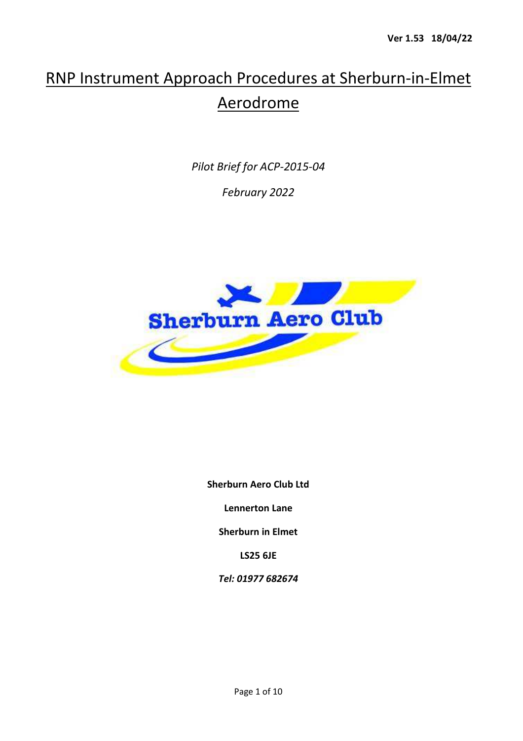# RNP Instrument Approach Procedures at Sherburn-in-Elmet Aerodrome

*Pilot Brief for ACP-2015-04* 

*February 2022* 



**Sherburn Aero Club Ltd** 

**Lennerton Lane** 

**Sherburn in Elmet** 

**LS25 6JE** 

*Tel: 01977 682674*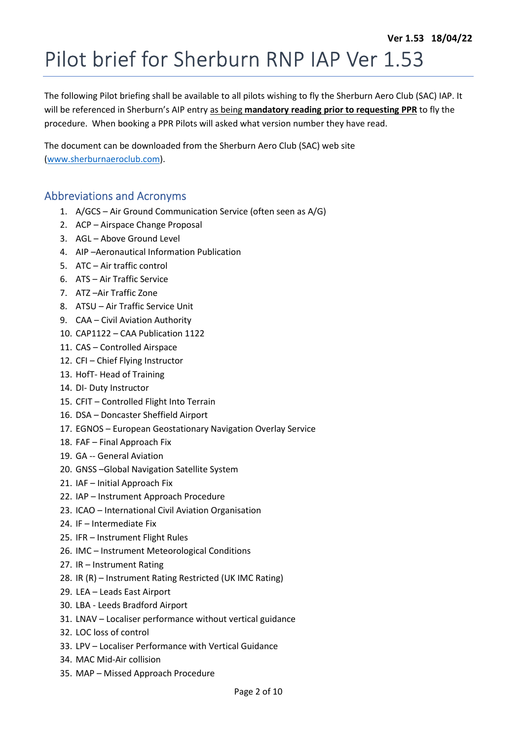# Pilot brief for Sherburn RNP IAP Ver 1.53

The following Pilot briefing shall be available to all pilots wishing to fly the Sherburn Aero Club (SAC) IAP. It will be referenced in Sherburn's AIP entry as being **mandatory reading prior to requesting PPR** to fly the procedure. When booking a PPR Pilots will asked what version number they have read.

The document can be downloaded from the Sherburn Aero Club (SAC) web site (www.sherburnaeroclub.com).

#### Abbreviations and Acronyms

- 1. A/GCS Air Ground Communication Service (often seen as A/G)
- 2. ACP Airspace Change Proposal
- 3. AGL Above Ground Level
- 4. AIP –Aeronautical Information Publication
- 5. ATC Air traffic control
- 6. ATS Air Traffic Service
- 7. ATZ –Air Traffic Zone
- 8. ATSU Air Traffic Service Unit
- 9. CAA Civil Aviation Authority
- 10. CAP1122 CAA Publication 1122
- 11. CAS Controlled Airspace
- 12. CFI Chief Flying Instructor
- 13. HofT- Head of Training
- 14. DI- Duty Instructor
- 15. CFIT Controlled Flight Into Terrain
- 16. DSA Doncaster Sheffield Airport
- 17. EGNOS European Geostationary Navigation Overlay Service
- 18. FAF Final Approach Fix
- 19. GA -- General Aviation
- 20. GNSS –Global Navigation Satellite System
- 21. IAF Initial Approach Fix
- 22. IAP Instrument Approach Procedure
- 23. ICAO International Civil Aviation Organisation
- 24. IF Intermediate Fix
- 25. IFR Instrument Flight Rules
- 26. IMC Instrument Meteorological Conditions
- 27. IR Instrument Rating
- 28. IR (R) Instrument Rating Restricted (UK IMC Rating)
- 29. LEA Leads East Airport
- 30. LBA Leeds Bradford Airport
- 31. LNAV Localiser performance without vertical guidance
- 32. LOC loss of control
- 33. LPV Localiser Performance with Vertical Guidance
- 34. MAC Mid-Air collision
- 35. MAP Missed Approach Procedure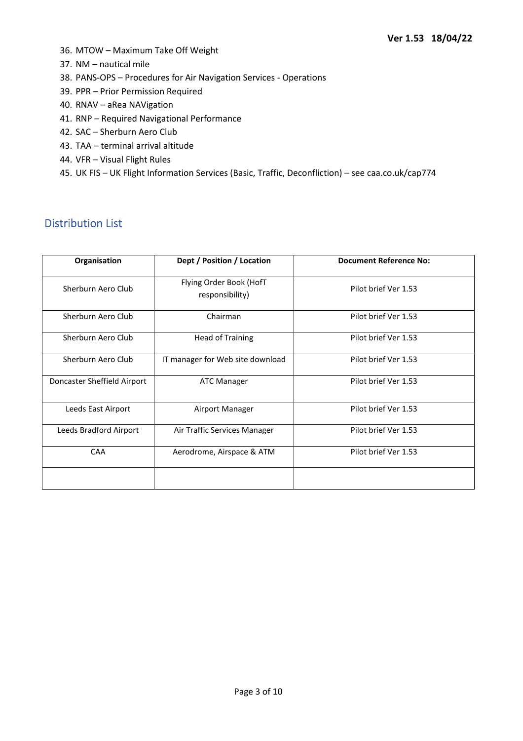- 36. MTOW Maximum Take Off Weight
- 37. NM nautical mile
- 38. PANS-OPS Procedures for Air Navigation Services Operations
- 39. PPR Prior Permission Required
- 40. RNAV aRea NAVigation
- 41. RNP Required Navigational Performance
- 42. SAC Sherburn Aero Club
- 43. TAA terminal arrival altitude
- 44. VFR Visual Flight Rules
- 45. UK FIS UK Flight Information Services (Basic, Traffic, Deconfliction) see caa.co.uk/cap774

## Distribution List

| Organisation                | Dept / Position / Location                                         | <b>Document Reference No:</b> |  |
|-----------------------------|--------------------------------------------------------------------|-------------------------------|--|
| Sherburn Aero Club          | Flying Order Book (HofT<br>Pilot brief Ver 1.53<br>responsibility) |                               |  |
| Sherburn Aero Club          | Pilot brief Ver 1.53<br>Chairman                                   |                               |  |
| Sherburn Aero Club          | <b>Head of Training</b><br>Pilot brief Ver 1.53                    |                               |  |
| Sherburn Aero Club          | IT manager for Web site download<br>Pilot brief Ver 1.53           |                               |  |
| Doncaster Sheffield Airport | <b>ATC Manager</b>                                                 | Pilot brief Ver 1.53          |  |
| Leeds East Airport          | Airport Manager                                                    | Pilot brief Ver 1.53          |  |
| Leeds Bradford Airport      | Air Traffic Services Manager                                       | Pilot brief Ver 1.53          |  |
| CAA                         | Aerodrome, Airspace & ATM                                          | Pilot brief Ver 1.53          |  |
|                             |                                                                    |                               |  |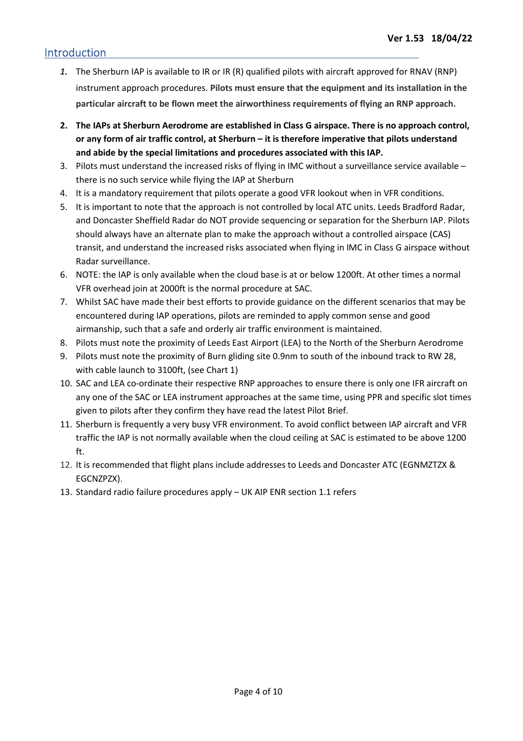#### Introduction

- *1.* The Sherburn IAP is available to IR or IR (R) qualified pilots with aircraft approved for RNAV (RNP) instrument approach procedures. **Pilots must ensure that the equipment and its installation in the particular aircraft to be flown meet the airworthiness requirements of flying an RNP approach.**
- **2. The IAPs at Sherburn Aerodrome are established in Class G airspace. There is no approach control, or any form of air traffic control, at Sherburn – it is therefore imperative that pilots understand and abide by the special limitations and procedures associated with this IAP.**
- 3. Pilots must understand the increased risks of flying in IMC without a surveillance service available there is no such service while flying the IAP at Sherburn
- 4. It is a mandatory requirement that pilots operate a good VFR lookout when in VFR conditions.
- 5. It is important to note that the approach is not controlled by local ATC units. Leeds Bradford Radar, and Doncaster Sheffield Radar do NOT provide sequencing or separation for the Sherburn IAP. Pilots should always have an alternate plan to make the approach without a controlled airspace (CAS) transit, and understand the increased risks associated when flying in IMC in Class G airspace without Radar surveillance.
- 6. NOTE: the IAP is only available when the cloud base is at or below 1200ft. At other times a normal VFR overhead join at 2000ft is the normal procedure at SAC.
- 7. Whilst SAC have made their best efforts to provide guidance on the different scenarios that may be encountered during IAP operations, pilots are reminded to apply common sense and good airmanship, such that a safe and orderly air traffic environment is maintained.
- 8. Pilots must note the proximity of Leeds East Airport (LEA) to the North of the Sherburn Aerodrome
- 9. Pilots must note the proximity of Burn gliding site 0.9nm to south of the inbound track to RW 28, with cable launch to 3100ft, (see Chart 1)
- 10. SAC and LEA co-ordinate their respective RNP approaches to ensure there is only one IFR aircraft on any one of the SAC or LEA instrument approaches at the same time, using PPR and specific slot times given to pilots after they confirm they have read the latest Pilot Brief.
- 11. Sherburn is frequently a very busy VFR environment. To avoid conflict between IAP aircraft and VFR traffic the IAP is not normally available when the cloud ceiling at SAC is estimated to be above 1200 ft.
- 12. It is recommended that flight plans include addresses to Leeds and Doncaster ATC (EGNMZTZX & EGCNZPZX).
- 13. Standard radio failure procedures apply UK AIP ENR section 1.1 refers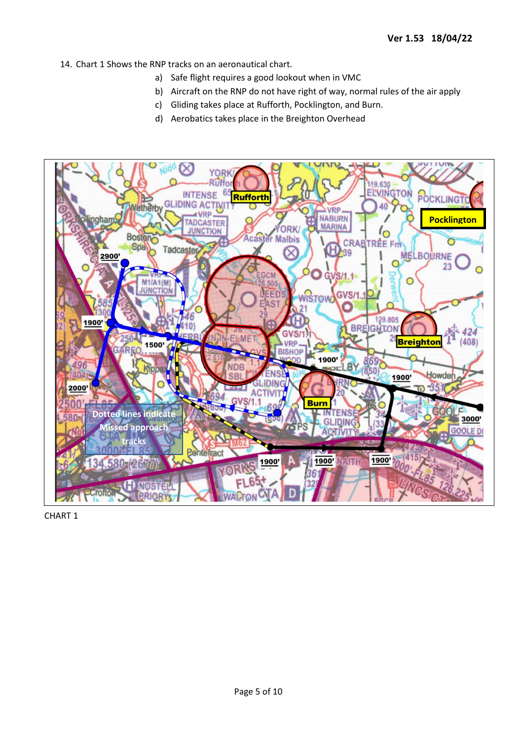- 14. Chart 1 Shows the RNP tracks on an aeronautical chart.
	- a) Safe flight requires a good lookout when in VMC
	- b) Aircraft on the RNP do not have right of way, normal rules of the air apply
	- c) Gliding takes place at Rufforth, Pocklington, and Burn.
	- d) Aerobatics takes place in the Breighton Overhead



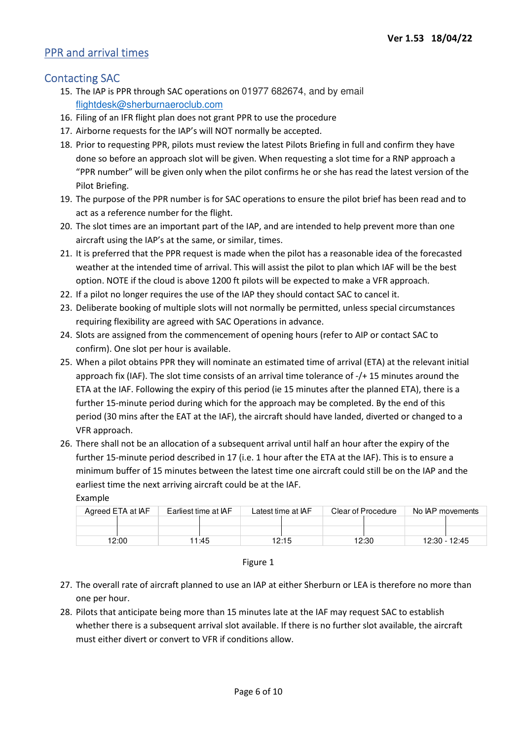### PPR and arrival times

#### Contacting SAC

Example

- 15. The IAP is PPR through SAC operations on 01977 682674, and by email flightdesk@sherburnaeroclub.com
- 16. Filing of an IFR flight plan does not grant PPR to use the procedure
- 17. Airborne requests for the IAP's will NOT normally be accepted.
- 18. Prior to requesting PPR, pilots must review the latest Pilots Briefing in full and confirm they have done so before an approach slot will be given. When requesting a slot time for a RNP approach a "PPR number" will be given only when the pilot confirms he or she has read the latest version of the Pilot Briefing.
- 19. The purpose of the PPR number is for SAC operations to ensure the pilot brief has been read and to act as a reference number for the flight.
- 20. The slot times are an important part of the IAP, and are intended to help prevent more than one aircraft using the IAP's at the same, or similar, times.
- 21. It is preferred that the PPR request is made when the pilot has a reasonable idea of the forecasted weather at the intended time of arrival. This will assist the pilot to plan which IAF will be the best option. NOTE if the cloud is above 1200 ft pilots will be expected to make a VFR approach.
- 22. If a pilot no longer requires the use of the IAP they should contact SAC to cancel it.
- 23. Deliberate booking of multiple slots will not normally be permitted, unless special circumstances requiring flexibility are agreed with SAC Operations in advance.
- 24. Slots are assigned from the commencement of opening hours (refer to AIP or contact SAC to confirm). One slot per hour is available.
- 25. When a pilot obtains PPR they will nominate an estimated time of arrival (ETA) at the relevant initial approach fix (IAF). The slot time consists of an arrival time tolerance of -/+ 15 minutes around the ETA at the IAF. Following the expiry of this period (ie 15 minutes after the planned ETA), there is a further 15-minute period during which for the approach may be completed. By the end of this period (30 mins after the EAT at the IAF), the aircraft should have landed, diverted or changed to a VFR approach.
- 26. There shall not be an allocation of a subsequent arrival until half an hour after the expiry of the further 15-minute period described in 17 (i.e. 1 hour after the ETA at the IAF). This is to ensure a minimum buffer of 15 minutes between the latest time one aircraft could still be on the IAP and the earliest time the next arriving aircraft could be at the IAF.

| Agreed ETA at IAF | Earliest time at IAF | Latest time at IAF | Clear of Procedure | No IAP movements |
|-------------------|----------------------|--------------------|--------------------|------------------|
|                   |                      |                    |                    |                  |
|                   |                      |                    |                    |                  |
| 12:00             | 1:45                 | 12:15              | 12:30              | 12:30 - 12:45    |

#### Figure 1

- 27. The overall rate of aircraft planned to use an IAP at either Sherburn or LEA is therefore no more than one per hour.
- 28. Pilots that anticipate being more than 15 minutes late at the IAF may request SAC to establish whether there is a subsequent arrival slot available. If there is no further slot available, the aircraft must either divert or convert to VFR if conditions allow.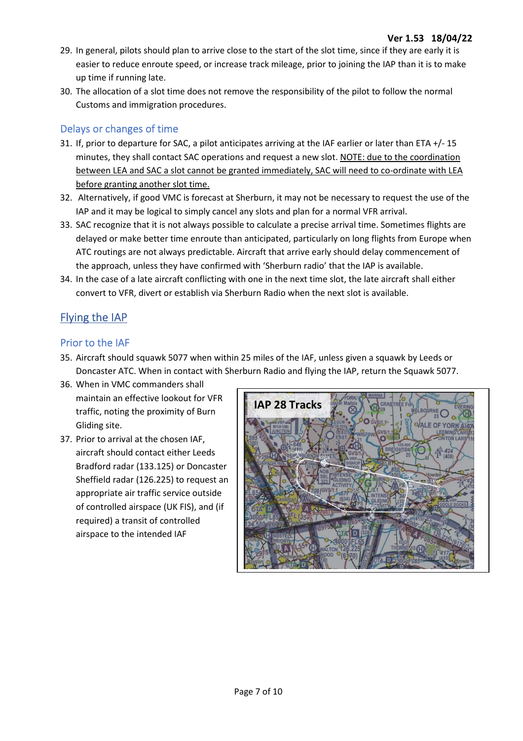- 29. In general, pilots should plan to arrive close to the start of the slot time, since if they are early it is easier to reduce enroute speed, or increase track mileage, prior to joining the IAP than it is to make up time if running late.
- 30. The allocation of a slot time does not remove the responsibility of the pilot to follow the normal Customs and immigration procedures.

#### Delays or changes of time

- 31. If, prior to departure for SAC, a pilot anticipates arriving at the IAF earlier or later than ETA +/- 15 minutes, they shall contact SAC operations and request a new slot. NOTE: due to the coordination between LEA and SAC a slot cannot be granted immediately, SAC will need to co-ordinate with LEA before granting another slot time.
- 32. Alternatively, if good VMC is forecast at Sherburn, it may not be necessary to request the use of the IAP and it may be logical to simply cancel any slots and plan for a normal VFR arrival.
- 33. SAC recognize that it is not always possible to calculate a precise arrival time. Sometimes flights are delayed or make better time enroute than anticipated, particularly on long flights from Europe when ATC routings are not always predictable. Aircraft that arrive early should delay commencement of the approach, unless they have confirmed with 'Sherburn radio' that the IAP is available.
- 34. In the case of a late aircraft conflicting with one in the next time slot, the late aircraft shall either convert to VFR, divert or establish via Sherburn Radio when the next slot is available.

# Flying the IAP

#### Prior to the IAF

- 35. Aircraft should squawk 5077 when within 25 miles of the IAF, unless given a squawk by Leeds or Doncaster ATC. When in contact with Sherburn Radio and flying the IAP, return the Squawk 5077.
- 36. When in VMC commanders shall maintain an effective lookout for VFR traffic, noting the proximity of Burn Gliding site.
- 37. Prior to arrival at the chosen IAF, aircraft should contact either Leeds Bradford radar (133.125) or Doncaster Sheffield radar (126.225) to request an appropriate air traffic service outside of controlled airspace (UK FIS), and (if required) a transit of controlled airspace to the intended IAF

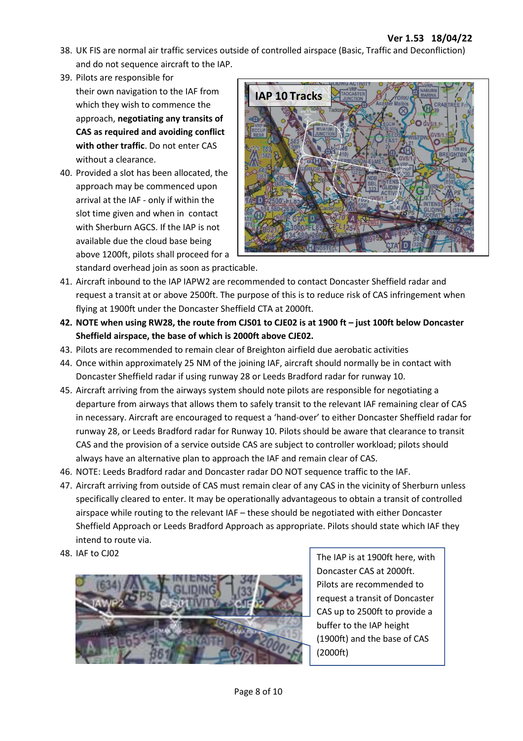- 38. UK FIS are normal air traffic services outside of controlled airspace (Basic, Traffic and Deconfliction) and do not sequence aircraft to the IAP.
- 39. Pilots are responsible for their own navigation to the IAF from which they wish to commence the approach, **negotiating any transits of CAS as required and avoiding conflict with other traffic**. Do not enter CAS without a clearance.
- 40. Provided a slot has been allocated, the approach may be commenced upon arrival at the IAF - only if within the slot time given and when in contact with Sherburn AGCS. If the IAP is not available due the cloud base being above 1200ft, pilots shall proceed for a standard overhead join as soon as practicable.



- 41. Aircraft inbound to the IAP IAPW2 are recommended to contact Doncaster Sheffield radar and request a transit at or above 2500ft. The purpose of this is to reduce risk of CAS infringement when flying at 1900ft under the Doncaster Sheffield CTA at 2000ft.
- **42. NOTE when using RW28, the route from CJS01 to CJE02 is at 1900 ft just 100ft below Doncaster Sheffield airspace, the base of which is 2000ft above CJE02.**
- 43. Pilots are recommended to remain clear of Breighton airfield due aerobatic activities
- 44. Once within approximately 25 NM of the joining IAF, aircraft should normally be in contact with Doncaster Sheffield radar if using runway 28 or Leeds Bradford radar for runway 10.
- 45. Aircraft arriving from the airways system should note pilots are responsible for negotiating a departure from airways that allows them to safely transit to the relevant IAF remaining clear of CAS in necessary. Aircraft are encouraged to request a 'hand-over' to either Doncaster Sheffield radar for runway 28, or Leeds Bradford radar for Runway 10. Pilots should be aware that clearance to transit CAS and the provision of a service outside CAS are subject to controller workload; pilots should always have an alternative plan to approach the IAF and remain clear of CAS.
- 46. NOTE: Leeds Bradford radar and Doncaster radar DO NOT sequence traffic to the IAF.
- 47. Aircraft arriving from outside of CAS must remain clear of any CAS in the vicinity of Sherburn unless specifically cleared to enter. It may be operationally advantageous to obtain a transit of controlled airspace while routing to the relevant IAF – these should be negotiated with either Doncaster Sheffield Approach or Leeds Bradford Approach as appropriate. Pilots should state which IAF they intend to route via.
- 



48. IAF to CJ02 **The IAP is at 1900ft here, with** Doncaster CAS at 2000ft. Pilots are recommended to request a transit of Doncaster CAS up to 2500ft to provide a buffer to the IAP height (1900ft) and the base of CAS (2000ft)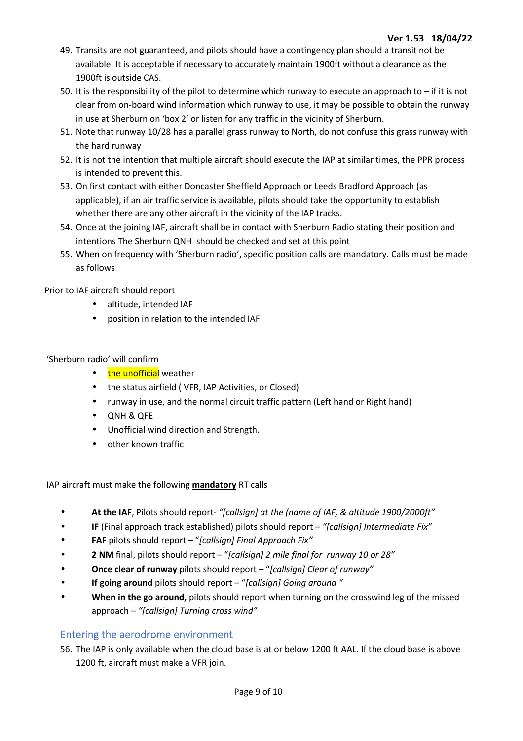- 49. Transits are not guaranteed, and pilots should have a contingency plan should a transit not be available. It is acceptable if necessary to accurately maintain 1900ft without a clearance as the 1900ft is outside CAS.
- 50. It is the responsibility of the pilot to determine which runway to execute an approach to if it is not clear from on-board wind information which runway to use, it may be possible to obtain the runway in use at Sherburn on 'box 2' or listen for any traffic in the vicinity of Sherburn.
- 51. Note that runway 10/28 has a parallel grass runway to North, do not confuse this grass runway with the hard runway
- 52. It is not the intention that multiple aircraft should execute the IAP at similar times, the PPR process is intended to prevent this.
- 53. On first contact with either Doncaster Sheffield Approach or Leeds Bradford Approach (as applicable), if an air traffic service is available, pilots should take the opportunity to establish whether there are any other aircraft in the vicinity of the IAP tracks.
- 54. Once at the joining IAF, aircraft shall be in contact with Sherburn Radio stating their position and intentions The Sherburn QNH should be checked and set at this point
- 55. When on frequency with 'Sherburn radio', specific position calls are mandatory. Calls must be made as follows

Prior to IAF aircraft should report

- altitude, intended IAF
- position in relation to the intended IAF.

#### 'Sherburn radio' will confirm

- the unofficial weather
- the status airfield ( VFR, IAP Activities, or Closed)
- runway in use, and the normal circuit traffic pattern (Left hand or Right hand)
- QNH & QFE
- Unofficial wind direction and Strength.
- other known traffic

IAP aircraft must make the following **mandatory** RT calls

- **At the IAF**, Pilots should report- *"[callsign] at the (name of IAF, & altitude 1900/2000ft"*
- **IF** (Final approach track established) pilots should report *"[callsign] Intermediate Fix"*
- **FAF** pilots should report "*[callsign] Final Approach Fix"*
- **2 NM** final, pilots should report "*[callsign] 2 mile final for runway 10 or 28"*
- **Once clear of runway** pilots should report "*[callsign] Clear of runway"*
- **If going around** pilots should report "*[callsign] Going around "*
- **When in the go around,** pilots should report when turning on the crosswind leg of the missed approach – *"[callsign] Turning cross wind"*

#### Entering the aerodrome environment

56. The IAP is only available when the cloud base is at or below 1200 ft AAL. If the cloud base is above 1200 ft, aircraft must make a VFR join.